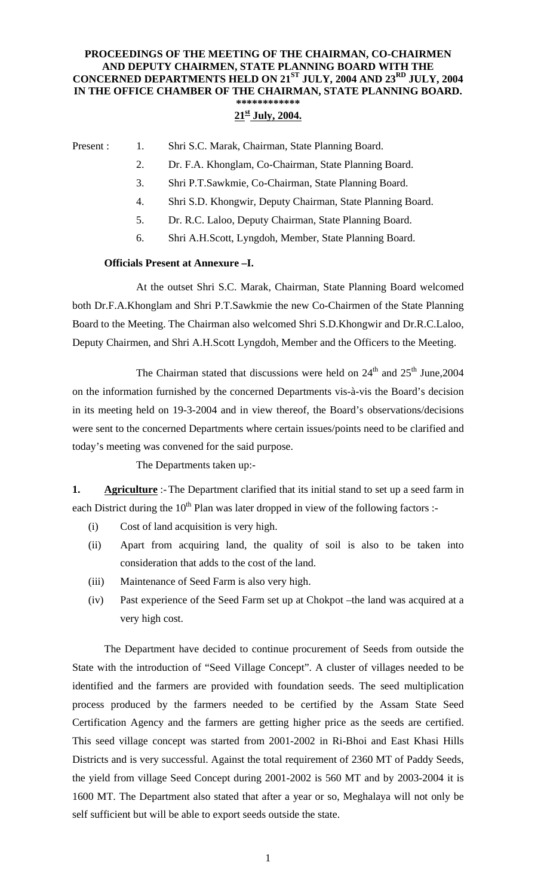## **PROCEEDINGS OF THE MEETING OF THE CHAIRMAN, CO-CHAIRMEN AND DEPUTY CHAIRMEN, STATE PLANNING BOARD WITH THE CONCERNED DEPARTMENTS HELD ON 21ST JULY, 2004 AND 23RD JULY, 2004 IN THE OFFICE CHAMBER OF THE CHAIRMAN, STATE PLANNING BOARD. \*\*\*\*\*\*\*\*\*\*\*\***

#### **21st July, 2004.**

#### Present : 1. Shri S.C. Marak, Chairman, State Planning Board.

- 2. Dr. F.A. Khonglam, Co-Chairman, State Planning Board.
- 3. Shri P.T.Sawkmie, Co-Chairman, State Planning Board.
- 4. Shri S.D. Khongwir, Deputy Chairman, State Planning Board.
- 5. Dr. R.C. Laloo, Deputy Chairman, State Planning Board.
- 6. Shri A.H.Scott, Lyngdoh, Member, State Planning Board.

### **Officials Present at Annexure –I.**

 At the outset Shri S.C. Marak, Chairman, State Planning Board welcomed both Dr.F.A.Khonglam and Shri P.T.Sawkmie the new Co-Chairmen of the State Planning Board to the Meeting. The Chairman also welcomed Shri S.D.Khongwir and Dr.R.C.Laloo, Deputy Chairmen, and Shri A.H.Scott Lyngdoh, Member and the Officers to the Meeting.

The Chairman stated that discussions were held on  $24<sup>th</sup>$  and  $25<sup>th</sup>$  June, 2004 on the information furnished by the concerned Departments vis-à-vis the Board's decision in its meeting held on 19-3-2004 and in view thereof, the Board's observations/decisions were sent to the concerned Departments where certain issues/points need to be clarified and today's meeting was convened for the said purpose.

The Departments taken up:-

**1. Agriculture** :- The Department clarified that its initial stand to set up a seed farm in each District during the  $10<sup>th</sup>$  Plan was later dropped in view of the following factors :-

- (i) Cost of land acquisition is very high.
- (ii) Apart from acquiring land, the quality of soil is also to be taken into consideration that adds to the cost of the land.
- (iii) Maintenance of Seed Farm is also very high.
- (iv) Past experience of the Seed Farm set up at Chokpot –the land was acquired at a very high cost.

The Department have decided to continue procurement of Seeds from outside the State with the introduction of "Seed Village Concept". A cluster of villages needed to be identified and the farmers are provided with foundation seeds. The seed multiplication process produced by the farmers needed to be certified by the Assam State Seed Certification Agency and the farmers are getting higher price as the seeds are certified. This seed village concept was started from 2001-2002 in Ri-Bhoi and East Khasi Hills Districts and is very successful. Against the total requirement of 2360 MT of Paddy Seeds, the yield from village Seed Concept during 2001-2002 is 560 MT and by 2003-2004 it is 1600 MT. The Department also stated that after a year or so, Meghalaya will not only be self sufficient but will be able to export seeds outside the state.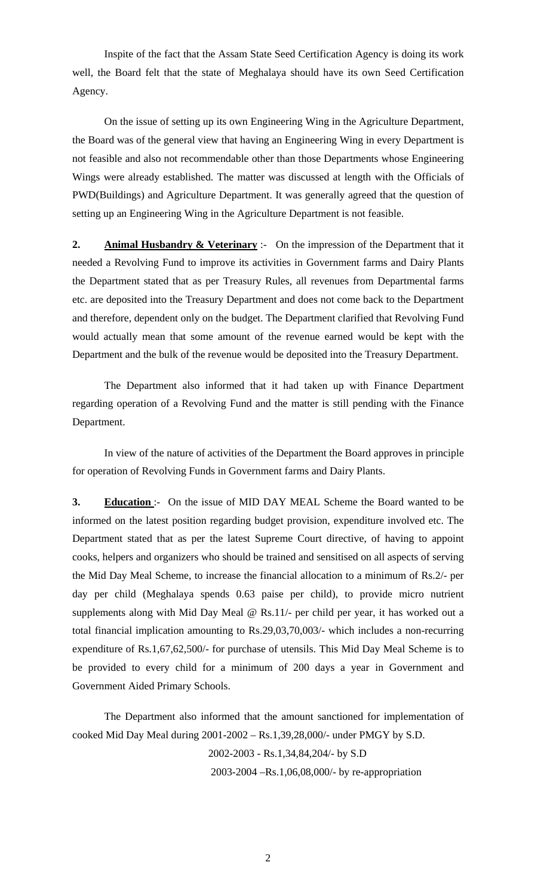Inspite of the fact that the Assam State Seed Certification Agency is doing its work well, the Board felt that the state of Meghalaya should have its own Seed Certification Agency.

On the issue of setting up its own Engineering Wing in the Agriculture Department, the Board was of the general view that having an Engineering Wing in every Department is not feasible and also not recommendable other than those Departments whose Engineering Wings were already established. The matter was discussed at length with the Officials of PWD(Buildings) and Agriculture Department. It was generally agreed that the question of setting up an Engineering Wing in the Agriculture Department is not feasible.

**2. Animal Husbandry & Veterinary** :- On the impression of the Department that it needed a Revolving Fund to improve its activities in Government farms and Dairy Plants the Department stated that as per Treasury Rules, all revenues from Departmental farms etc. are deposited into the Treasury Department and does not come back to the Department and therefore, dependent only on the budget. The Department clarified that Revolving Fund would actually mean that some amount of the revenue earned would be kept with the Department and the bulk of the revenue would be deposited into the Treasury Department.

 The Department also informed that it had taken up with Finance Department regarding operation of a Revolving Fund and the matter is still pending with the Finance Department.

 In view of the nature of activities of the Department the Board approves in principle for operation of Revolving Funds in Government farms and Dairy Plants.

**3. Education** :- On the issue of MID DAY MEAL Scheme the Board wanted to be informed on the latest position regarding budget provision, expenditure involved etc. The Department stated that as per the latest Supreme Court directive, of having to appoint cooks, helpers and organizers who should be trained and sensitised on all aspects of serving the Mid Day Meal Scheme, to increase the financial allocation to a minimum of Rs.2/- per day per child (Meghalaya spends 0.63 paise per child), to provide micro nutrient supplements along with Mid Day Meal @ Rs.11/- per child per year, it has worked out a total financial implication amounting to Rs.29,03,70,003/- which includes a non-recurring expenditure of Rs.1,67,62,500/- for purchase of utensils. This Mid Day Meal Scheme is to be provided to every child for a minimum of 200 days a year in Government and Government Aided Primary Schools.

 The Department also informed that the amount sanctioned for implementation of cooked Mid Day Meal during 2001-2002 – Rs.1,39,28,000/- under PMGY by S.D.

2002-2003 - Rs.1,34,84,204/- by S.D

2003-2004 –Rs.1,06,08,000/- by re-appropriation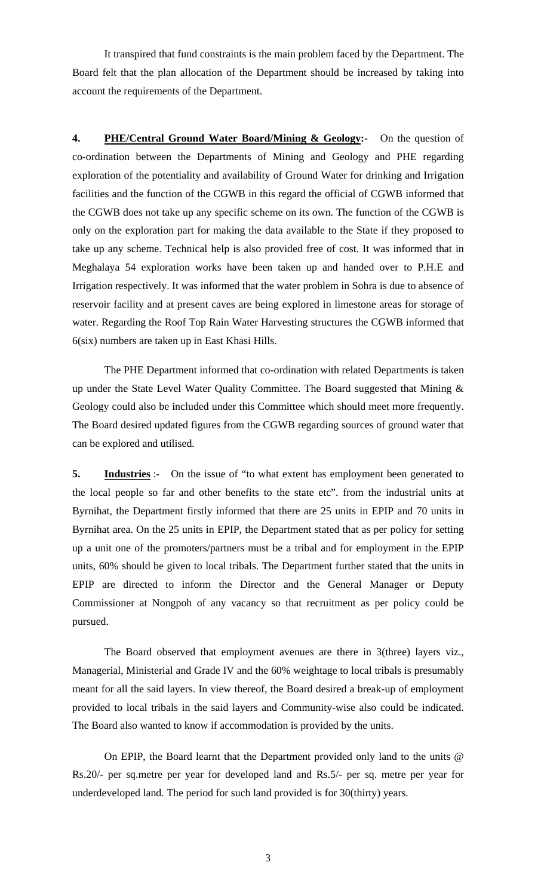It transpired that fund constraints is the main problem faced by the Department. The Board felt that the plan allocation of the Department should be increased by taking into account the requirements of the Department.

**4. PHE/Central Ground Water Board/Mining & Geology:-** On the question of co-ordination between the Departments of Mining and Geology and PHE regarding exploration of the potentiality and availability of Ground Water for drinking and Irrigation facilities and the function of the CGWB in this regard the official of CGWB informed that the CGWB does not take up any specific scheme on its own. The function of the CGWB is only on the exploration part for making the data available to the State if they proposed to take up any scheme. Technical help is also provided free of cost. It was informed that in Meghalaya 54 exploration works have been taken up and handed over to P.H.E and Irrigation respectively. It was informed that the water problem in Sohra is due to absence of reservoir facility and at present caves are being explored in limestone areas for storage of water. Regarding the Roof Top Rain Water Harvesting structures the CGWB informed that 6(six) numbers are taken up in East Khasi Hills.

 The PHE Department informed that co-ordination with related Departments is taken up under the State Level Water Quality Committee. The Board suggested that Mining  $\&$ Geology could also be included under this Committee which should meet more frequently. The Board desired updated figures from the CGWB regarding sources of ground water that can be explored and utilised.

**5. Industries** :- On the issue of "to what extent has employment been generated to the local people so far and other benefits to the state etc". from the industrial units at Byrnihat, the Department firstly informed that there are 25 units in EPIP and 70 units in Byrnihat area. On the 25 units in EPIP, the Department stated that as per policy for setting up a unit one of the promoters/partners must be a tribal and for employment in the EPIP units, 60% should be given to local tribals. The Department further stated that the units in EPIP are directed to inform the Director and the General Manager or Deputy Commissioner at Nongpoh of any vacancy so that recruitment as per policy could be pursued.

The Board observed that employment avenues are there in 3(three) layers viz., Managerial, Ministerial and Grade IV and the 60% weightage to local tribals is presumably meant for all the said layers. In view thereof, the Board desired a break-up of employment provided to local tribals in the said layers and Community-wise also could be indicated. The Board also wanted to know if accommodation is provided by the units.

 On EPIP, the Board learnt that the Department provided only land to the units @ Rs.20/- per sq.metre per year for developed land and Rs.5/- per sq. metre per year for underdeveloped land. The period for such land provided is for 30(thirty) years.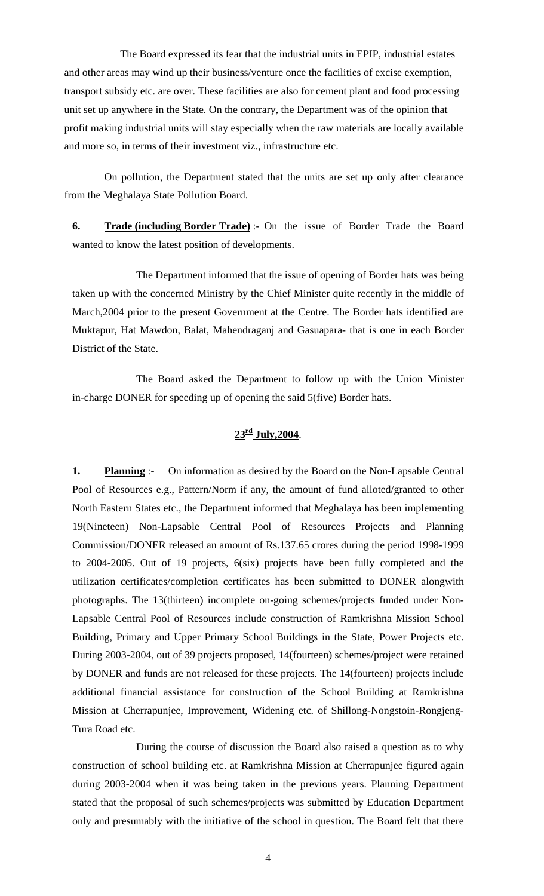The Board expressed its fear that the industrial units in EPIP, industrial estates and other areas may wind up their business/venture once the facilities of excise exemption, transport subsidy etc. are over. These facilities are also for cement plant and food processing unit set up anywhere in the State. On the contrary, the Department was of the opinion that profit making industrial units will stay especially when the raw materials are locally available and more so, in terms of their investment viz., infrastructure etc.

On pollution, the Department stated that the units are set up only after clearance from the Meghalaya State Pollution Board.

**6. Trade (including Border Trade)** :- On the issue of Border Trade the Board wanted to know the latest position of developments.

 The Department informed that the issue of opening of Border hats was being taken up with the concerned Ministry by the Chief Minister quite recently in the middle of March,2004 prior to the present Government at the Centre. The Border hats identified are Muktapur, Hat Mawdon, Balat, Mahendraganj and Gasuapara- that is one in each Border District of the State.

 The Board asked the Department to follow up with the Union Minister in-charge DONER for speeding up of opening the said 5(five) Border hats.

# **23rd July,2004**.

**1. Planning** :- On information as desired by the Board on the Non-Lapsable Central Pool of Resources e.g., Pattern/Norm if any, the amount of fund alloted/granted to other North Eastern States etc., the Department informed that Meghalaya has been implementing 19(Nineteen) Non-Lapsable Central Pool of Resources Projects and Planning Commission/DONER released an amount of Rs.137.65 crores during the period 1998-1999 to 2004-2005. Out of 19 projects, 6(six) projects have been fully completed and the utilization certificates/completion certificates has been submitted to DONER alongwith photographs. The 13(thirteen) incomplete on-going schemes/projects funded under Non-Lapsable Central Pool of Resources include construction of Ramkrishna Mission School Building, Primary and Upper Primary School Buildings in the State, Power Projects etc. During 2003-2004, out of 39 projects proposed, 14(fourteen) schemes/project were retained by DONER and funds are not released for these projects. The 14(fourteen) projects include additional financial assistance for construction of the School Building at Ramkrishna Mission at Cherrapunjee, Improvement, Widening etc. of Shillong-Nongstoin-Rongjeng-Tura Road etc.

 During the course of discussion the Board also raised a question as to why construction of school building etc. at Ramkrishna Mission at Cherrapunjee figured again during 2003-2004 when it was being taken in the previous years. Planning Department stated that the proposal of such schemes/projects was submitted by Education Department only and presumably with the initiative of the school in question. The Board felt that there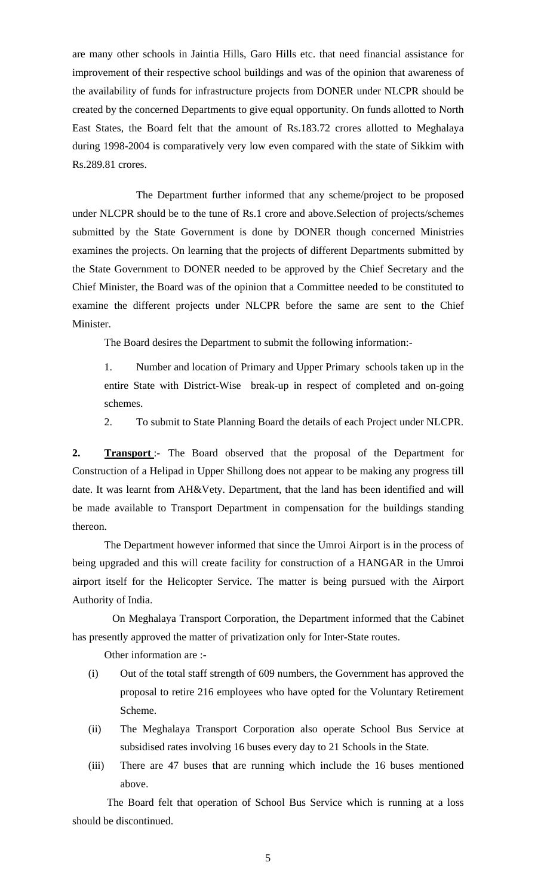are many other schools in Jaintia Hills, Garo Hills etc. that need financial assistance for improvement of their respective school buildings and was of the opinion that awareness of the availability of funds for infrastructure projects from DONER under NLCPR should be created by the concerned Departments to give equal opportunity. On funds allotted to North East States, the Board felt that the amount of Rs.183.72 crores allotted to Meghalaya during 1998-2004 is comparatively very low even compared with the state of Sikkim with Rs.289.81 crores.

 The Department further informed that any scheme/project to be proposed under NLCPR should be to the tune of Rs.1 crore and above.Selection of projects/schemes submitted by the State Government is done by DONER though concerned Ministries examines the projects. On learning that the projects of different Departments submitted by the State Government to DONER needed to be approved by the Chief Secretary and the Chief Minister, the Board was of the opinion that a Committee needed to be constituted to examine the different projects under NLCPR before the same are sent to the Chief Minister.

The Board desires the Department to submit the following information:-

1. Number and location of Primary and Upper Primary schools taken up in the entire State with District-Wise break-up in respect of completed and on-going schemes.

2. To submit to State Planning Board the details of each Project under NLCPR.

**2. Transport** :- The Board observed that the proposal of the Department for Construction of a Helipad in Upper Shillong does not appear to be making any progress till date. It was learnt from AH&Vety. Department, that the land has been identified and will be made available to Transport Department in compensation for the buildings standing thereon.

 The Department however informed that since the Umroi Airport is in the process of being upgraded and this will create facility for construction of a HANGAR in the Umroi airport itself for the Helicopter Service. The matter is being pursued with the Airport Authority of India.

 On Meghalaya Transport Corporation, the Department informed that the Cabinet has presently approved the matter of privatization only for Inter-State routes.

Other information are :-

- (i) Out of the total staff strength of 609 numbers, the Government has approved the proposal to retire 216 employees who have opted for the Voluntary Retirement Scheme.
- (ii) The Meghalaya Transport Corporation also operate School Bus Service at subsidised rates involving 16 buses every day to 21 Schools in the State.
- (iii) There are 47 buses that are running which include the 16 buses mentioned above.

The Board felt that operation of School Bus Service which is running at a loss should be discontinued.